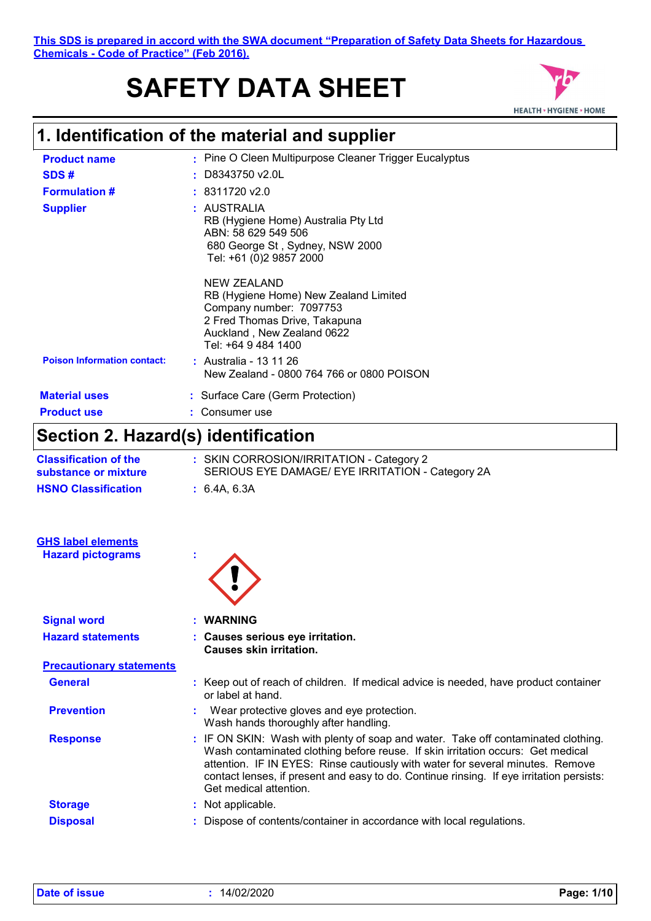#### **This SDS is prepared in accord with the SWA document "Preparation of Safety Data Sheets for Hazardous Chemicals - Code of Practice" (Feb 2016).**

# **SAFETY DATA SHEET**



# **1. Identification of the material and supplier**

| <b>Product name</b>                | : Pine O Cleen Multipurpose Cleaner Trigger Eucalyptus                                                                                                                |
|------------------------------------|-----------------------------------------------------------------------------------------------------------------------------------------------------------------------|
| SDS#                               | $\pm$ D8343750 v2.0L                                                                                                                                                  |
| <b>Formulation #</b>               | : 8311720 v2.0                                                                                                                                                        |
| <b>Supplier</b>                    | : AUSTRALIA<br>RB (Hygiene Home) Australia Pty Ltd<br>ABN: 58 629 549 506<br>680 George St, Sydney, NSW 2000<br>Tel: +61 (0)2 9857 2000                               |
|                                    | NEW ZEALAND<br>RB (Hygiene Home) New Zealand Limited<br>Company number: 7097753<br>2 Fred Thomas Drive, Takapuna<br>Auckland, New Zealand 0622<br>Tel: +64 9 484 1400 |
| <b>Poison Information contact:</b> | : Australia - 13 11 26<br>New Zealand - 0800 764 766 or 0800 POISON                                                                                                   |
| <b>Material uses</b>               | : Surface Care (Germ Protection)                                                                                                                                      |
| <b>Product use</b>                 | Consumer use                                                                                                                                                          |
|                                    |                                                                                                                                                                       |

# **Section 2. Hazard(s) identification**

| <b>Classification of the</b><br>substance or mixture | : SKIN CORROSION/IRRITATION - Category 2<br>SERIOUS EYE DAMAGE/ EYE IRRITATION - Category 2A                                                                                                                                                                                                                                                                                 |  |
|------------------------------------------------------|------------------------------------------------------------------------------------------------------------------------------------------------------------------------------------------------------------------------------------------------------------------------------------------------------------------------------------------------------------------------------|--|
| <b>HSNO Classification</b>                           | : 6.4A, 6.3A                                                                                                                                                                                                                                                                                                                                                                 |  |
| <b>GHS label elements</b>                            |                                                                                                                                                                                                                                                                                                                                                                              |  |
| <b>Hazard pictograms</b>                             |                                                                                                                                                                                                                                                                                                                                                                              |  |
| <b>Signal word</b>                                   | <b>WARNING</b>                                                                                                                                                                                                                                                                                                                                                               |  |
| <b>Hazard statements</b>                             | : Causes serious eye irritation.<br><b>Causes skin irritation.</b>                                                                                                                                                                                                                                                                                                           |  |
| <b>Precautionary statements</b>                      |                                                                                                                                                                                                                                                                                                                                                                              |  |
| <b>General</b>                                       | : Keep out of reach of children. If medical advice is needed, have product container<br>or label at hand.                                                                                                                                                                                                                                                                    |  |
| <b>Prevention</b>                                    | Wear protective gloves and eye protection.<br>Wash hands thoroughly after handling.                                                                                                                                                                                                                                                                                          |  |
| <b>Response</b>                                      | : IF ON SKIN: Wash with plenty of soap and water. Take off contaminated clothing.<br>Wash contaminated clothing before reuse. If skin irritation occurs: Get medical<br>attention. IF IN EYES: Rinse cautiously with water for several minutes. Remove<br>contact lenses, if present and easy to do. Continue rinsing. If eye irritation persists:<br>Get medical attention. |  |
| <b>Storage</b>                                       | : Not applicable.                                                                                                                                                                                                                                                                                                                                                            |  |
| <b>Disposal</b>                                      | : Dispose of contents/container in accordance with local regulations.                                                                                                                                                                                                                                                                                                        |  |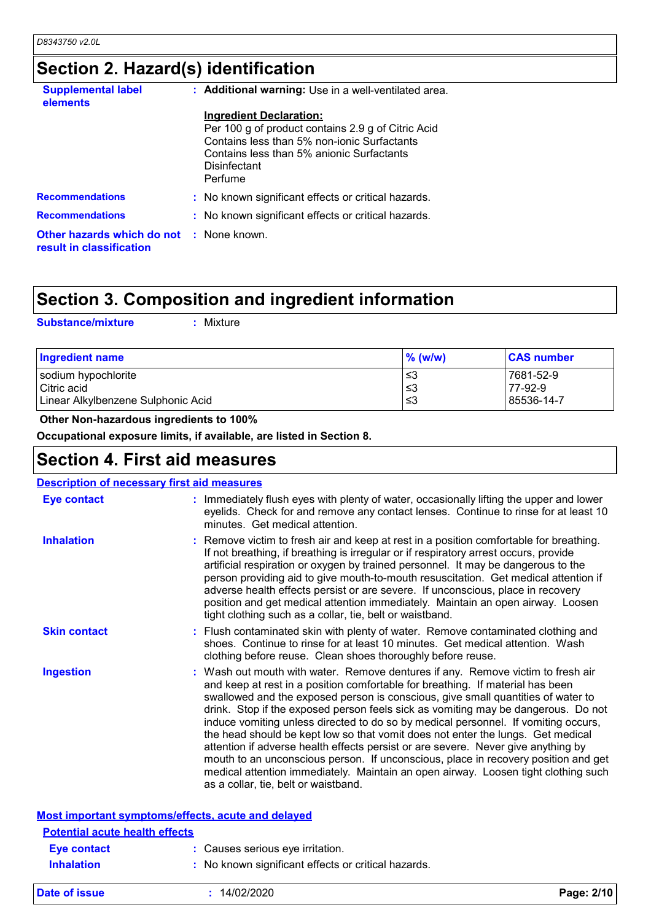# **Section 2. Hazard(s) identification**

| <b>Supplemental label</b><br>elements                                       | : Additional warning: Use in a well-ventilated area.                                                                                                                                                               |
|-----------------------------------------------------------------------------|--------------------------------------------------------------------------------------------------------------------------------------------------------------------------------------------------------------------|
|                                                                             | <b>Ingredient Declaration:</b><br>Per 100 g of product contains 2.9 g of Citric Acid<br>Contains less than 5% non-ionic Surfactants<br>Contains less than 5% anionic Surfactants<br><b>Disinfectant</b><br>Perfume |
| <b>Recommendations</b>                                                      | : No known significant effects or critical hazards.                                                                                                                                                                |
| <b>Recommendations</b>                                                      | : No known significant effects or critical hazards.                                                                                                                                                                |
| <b>Other hazards which do not : None known.</b><br>result in classification |                                                                                                                                                                                                                    |

# **Section 3. Composition and ingredient information**

**Substance/mixture :**

Mixture

| <b>Ingredient name</b>             | $\%$ (w/w) | <b>CAS number</b> |
|------------------------------------|------------|-------------------|
| sodium hypochlorite                | ≤3         | 7681-52-9         |
| Citric acid                        | ∣≤3        | 77-92-9           |
| Linear Alkylbenzene Sulphonic Acid | l ≤3       | 85536-14-7        |

 **Other Non-hazardous ingredients to 100%**

**Occupational exposure limits, if available, are listed in Section 8.**

## **Section 4. First aid measures**

| <b>Description of necessary first aid measures</b> |                                                                                                                                                                                                                                                                                                                                                                                                                                                                                                                                                                                                                                                                                                                                                                                                                              |
|----------------------------------------------------|------------------------------------------------------------------------------------------------------------------------------------------------------------------------------------------------------------------------------------------------------------------------------------------------------------------------------------------------------------------------------------------------------------------------------------------------------------------------------------------------------------------------------------------------------------------------------------------------------------------------------------------------------------------------------------------------------------------------------------------------------------------------------------------------------------------------------|
| <b>Eye contact</b>                                 | : Immediately flush eyes with plenty of water, occasionally lifting the upper and lower<br>eyelids. Check for and remove any contact lenses. Continue to rinse for at least 10<br>minutes. Get medical attention.                                                                                                                                                                                                                                                                                                                                                                                                                                                                                                                                                                                                            |
| <b>Inhalation</b>                                  | : Remove victim to fresh air and keep at rest in a position comfortable for breathing.<br>If not breathing, if breathing is irregular or if respiratory arrest occurs, provide<br>artificial respiration or oxygen by trained personnel. It may be dangerous to the<br>person providing aid to give mouth-to-mouth resuscitation. Get medical attention if<br>adverse health effects persist or are severe. If unconscious, place in recovery<br>position and get medical attention immediately. Maintain an open airway. Loosen<br>tight clothing such as a collar, tie, belt or waistband.                                                                                                                                                                                                                                 |
| <b>Skin contact</b>                                | : Flush contaminated skin with plenty of water. Remove contaminated clothing and<br>shoes. Continue to rinse for at least 10 minutes. Get medical attention. Wash<br>clothing before reuse. Clean shoes thoroughly before reuse.                                                                                                                                                                                                                                                                                                                                                                                                                                                                                                                                                                                             |
| <b>Ingestion</b>                                   | : Wash out mouth with water. Remove dentures if any. Remove victim to fresh air<br>and keep at rest in a position comfortable for breathing. If material has been<br>swallowed and the exposed person is conscious, give small quantities of water to<br>drink. Stop if the exposed person feels sick as vomiting may be dangerous. Do not<br>induce vomiting unless directed to do so by medical personnel. If vomiting occurs,<br>the head should be kept low so that vomit does not enter the lungs. Get medical<br>attention if adverse health effects persist or are severe. Never give anything by<br>mouth to an unconscious person. If unconscious, place in recovery position and get<br>medical attention immediately. Maintain an open airway. Loosen tight clothing such<br>as a collar, tie, belt or waistband. |
|                                                    | Most important symptoms/effects, acute and delayed                                                                                                                                                                                                                                                                                                                                                                                                                                                                                                                                                                                                                                                                                                                                                                           |
| <b>Potential acute health effects</b>              |                                                                                                                                                                                                                                                                                                                                                                                                                                                                                                                                                                                                                                                                                                                                                                                                                              |
| <b>Eye contact</b>                                 | : Causes serious eye irritation.                                                                                                                                                                                                                                                                                                                                                                                                                                                                                                                                                                                                                                                                                                                                                                                             |
| <b>Inhalation</b>                                  | : No known significant effects or critical hazards.                                                                                                                                                                                                                                                                                                                                                                                                                                                                                                                                                                                                                                                                                                                                                                          |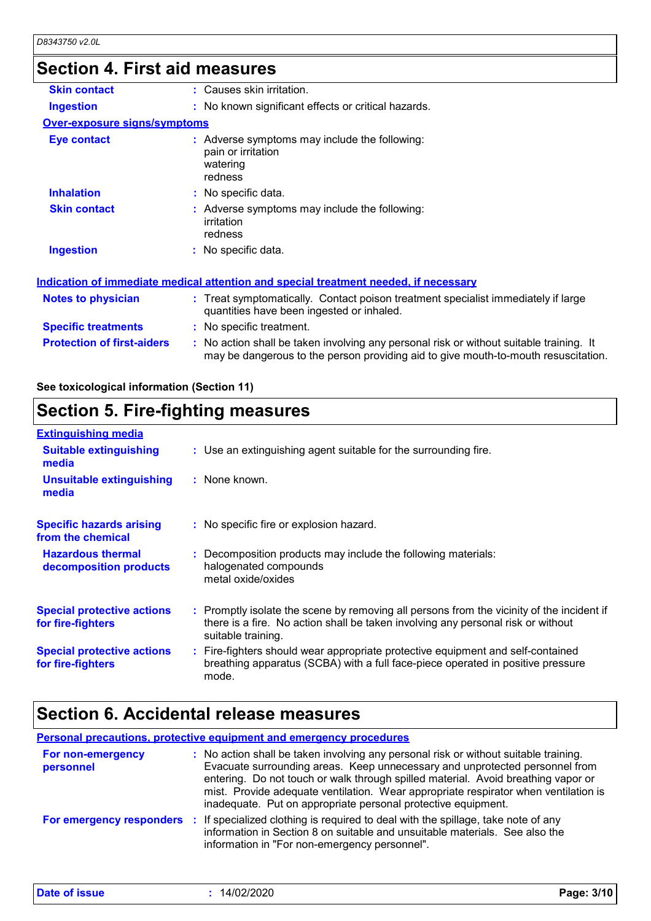## **Section 4. First aid measures**

| <b>Skin contact</b>                 | : Causes skin irritation.                                                                                                                                                     |
|-------------------------------------|-------------------------------------------------------------------------------------------------------------------------------------------------------------------------------|
| <b>Ingestion</b>                    | : No known significant effects or critical hazards.                                                                                                                           |
| <b>Over-exposure signs/symptoms</b> |                                                                                                                                                                               |
| <b>Eye contact</b>                  | : Adverse symptoms may include the following:<br>pain or irritation<br>watering<br>redness                                                                                    |
| <b>Inhalation</b>                   | : No specific data.                                                                                                                                                           |
| <b>Skin contact</b>                 | : Adverse symptoms may include the following:<br>irritation<br>redness                                                                                                        |
| <b>Ingestion</b>                    | : No specific data.                                                                                                                                                           |
|                                     | Indication of immediate medical attention and special treatment needed, if necessary                                                                                          |
| <b>Notes to physician</b>           | : Treat symptomatically. Contact poison treatment specialist immediately if large<br>quantities have been ingested or inhaled.                                                |
| <b>Specific treatments</b>          | : No specific treatment.                                                                                                                                                      |
| <b>Protection of first-aiders</b>   | : No action shall be taken involving any personal risk or without suitable training. It<br>may be dangerous to the person providing aid to give mouth-to-mouth resuscitation. |

### **See toxicological information (Section 11)**

# **Section 5. Fire-fighting measures**

| <b>Extinguishing media</b>                             |                                                                                                                                                                                                     |
|--------------------------------------------------------|-----------------------------------------------------------------------------------------------------------------------------------------------------------------------------------------------------|
| <b>Suitable extinguishing</b><br>media                 | : Use an extinguishing agent suitable for the surrounding fire.                                                                                                                                     |
| <b>Unsuitable extinguishing</b><br>media               | $:$ None known.                                                                                                                                                                                     |
| <b>Specific hazards arising</b><br>from the chemical   | : No specific fire or explosion hazard.                                                                                                                                                             |
| <b>Hazardous thermal</b><br>decomposition products     | : Decomposition products may include the following materials:<br>halogenated compounds<br>metal oxide/oxides                                                                                        |
| <b>Special protective actions</b><br>for fire-fighters | : Promptly isolate the scene by removing all persons from the vicinity of the incident if<br>there is a fire. No action shall be taken involving any personal risk or without<br>suitable training. |
| <b>Special protective actions</b><br>for fire-fighters | : Fire-fighters should wear appropriate protective equipment and self-contained<br>breathing apparatus (SCBA) with a full face-piece operated in positive pressure<br>mode.                         |

## **Section 6. Accidental release measures**

**Personal precautions, protective equipment and emergency procedures**

| For non-emergency<br>personnel | : No action shall be taken involving any personal risk or without suitable training.<br>Evacuate surrounding areas. Keep unnecessary and unprotected personnel from<br>entering. Do not touch or walk through spilled material. Avoid breathing vapor or<br>mist. Provide adequate ventilation. Wear appropriate respirator when ventilation is<br>inadequate. Put on appropriate personal protective equipment. |
|--------------------------------|------------------------------------------------------------------------------------------------------------------------------------------------------------------------------------------------------------------------------------------------------------------------------------------------------------------------------------------------------------------------------------------------------------------|
|                                | <b>For emergency responders</b> : If specialized clothing is required to deal with the spillage, take note of any<br>information in Section 8 on suitable and unsuitable materials. See also the<br>information in "For non-emergency personnel".                                                                                                                                                                |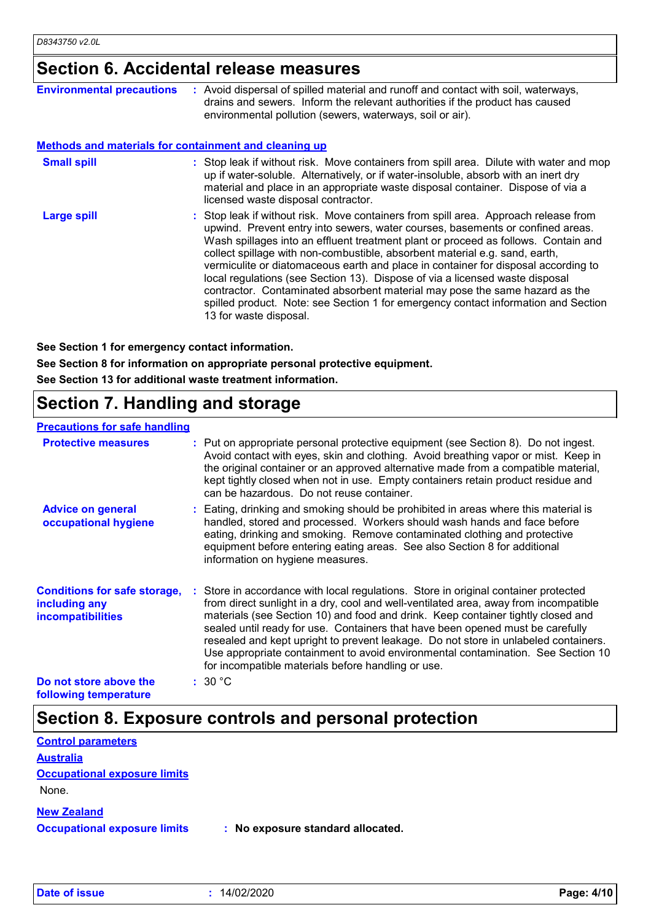## **Section 6. Accidental release measures**

| <b>Environmental precautions</b>                             | : Avoid dispersal of spilled material and runoff and contact with soil, waterways,<br>drains and sewers. Inform the relevant authorities if the product has caused<br>environmental pollution (sewers, waterways, soil or air).                                                                                                                                                                                                                                                                                                                                                                                                                                                                                 |
|--------------------------------------------------------------|-----------------------------------------------------------------------------------------------------------------------------------------------------------------------------------------------------------------------------------------------------------------------------------------------------------------------------------------------------------------------------------------------------------------------------------------------------------------------------------------------------------------------------------------------------------------------------------------------------------------------------------------------------------------------------------------------------------------|
| <b>Methods and materials for containment and cleaning up</b> |                                                                                                                                                                                                                                                                                                                                                                                                                                                                                                                                                                                                                                                                                                                 |
| <b>Small spill</b>                                           | : Stop leak if without risk. Move containers from spill area. Dilute with water and mop<br>up if water-soluble. Alternatively, or if water-insoluble, absorb with an inert dry<br>material and place in an appropriate waste disposal container. Dispose of via a<br>licensed waste disposal contractor.                                                                                                                                                                                                                                                                                                                                                                                                        |
| <b>Large spill</b>                                           | : Stop leak if without risk. Move containers from spill area. Approach release from<br>upwind. Prevent entry into sewers, water courses, basements or confined areas.<br>Wash spillages into an effluent treatment plant or proceed as follows. Contain and<br>collect spillage with non-combustible, absorbent material e.g. sand, earth,<br>vermiculite or diatomaceous earth and place in container for disposal according to<br>local regulations (see Section 13). Dispose of via a licensed waste disposal<br>contractor. Contaminated absorbent material may pose the same hazard as the<br>spilled product. Note: see Section 1 for emergency contact information and Section<br>13 for waste disposal. |

**See Section 1 for emergency contact information.**

**See Section 8 for information on appropriate personal protective equipment.**

**See Section 13 for additional waste treatment information.**

# **Section 7. Handling and storage**

#### **Advice on general occupational hygiene Conditions for safe storage,** : Store in accordance with local regulations. Store in original container protected **including any incompatibilities** Eating, drinking and smoking should be prohibited in areas where this material is **:** handled, stored and processed. Workers should wash hands and face before eating, drinking and smoking. Remove contaminated clothing and protective equipment before entering eating areas. See also Section 8 for additional information on hygiene measures. from direct sunlight in a dry, cool and well-ventilated area, away from incompatible materials (see Section 10) and food and drink. Keep container tightly closed and sealed until ready for use. Containers that have been opened must be carefully resealed and kept upright to prevent leakage. Do not store in unlabeled containers. Use appropriate containment to avoid environmental contamination. See Section 10 for incompatible materials before handling or use. **Protective measures** Put on appropriate personal protective equipment (see Section 8). Do not ingest. **:** Avoid contact with eyes, skin and clothing. Avoid breathing vapor or mist. Keep in the original container or an approved alternative made from a compatible material, kept tightly closed when not in use. Empty containers retain product residue and can be hazardous. Do not reuse container. **Precautions for safe handling Do not store above the following temperature :** 30 °C

## **Section 8. Exposure controls and personal protection**

| <b>Control parameters</b>           |                                   |  |
|-------------------------------------|-----------------------------------|--|
| <b>Australia</b>                    |                                   |  |
| <b>Occupational exposure limits</b> |                                   |  |
| None.                               |                                   |  |
| <b>New Zealand</b>                  |                                   |  |
| <b>Occupational exposure limits</b> | : No exposure standard allocated. |  |

**Date of issue :** 14/02/2020 **Page: 4/10**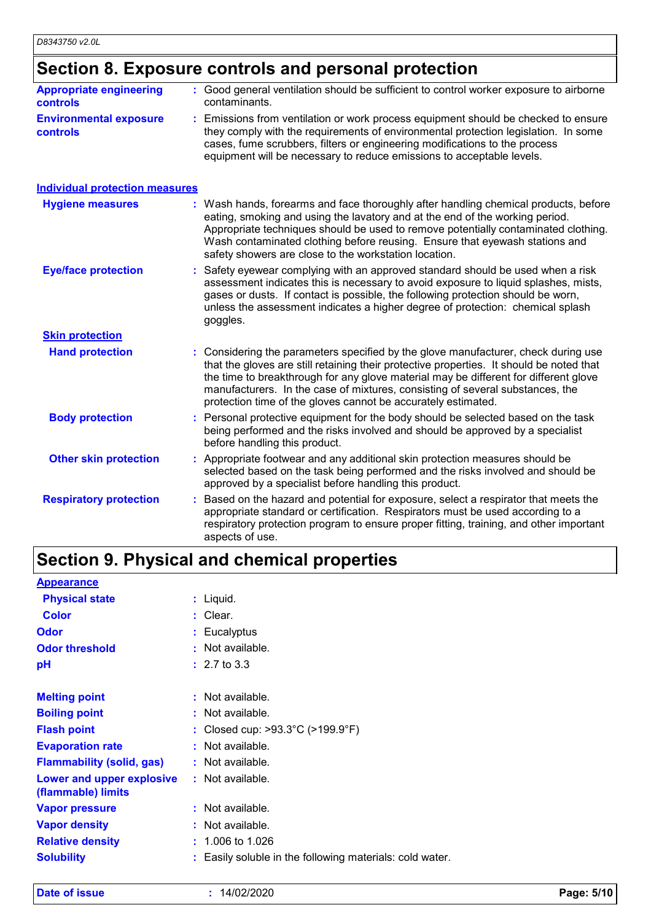# **Section 8. Exposure controls and personal protection**

| <b>Appropriate engineering</b>                   | : Good general ventilation should be sufficient to control worker exposure to airborne                                                                                                                                                                                                                                          |
|--------------------------------------------------|---------------------------------------------------------------------------------------------------------------------------------------------------------------------------------------------------------------------------------------------------------------------------------------------------------------------------------|
| <b>controls</b>                                  | contaminants.                                                                                                                                                                                                                                                                                                                   |
| <b>Environmental exposure</b><br><b>controls</b> | : Emissions from ventilation or work process equipment should be checked to ensure<br>they comply with the requirements of environmental protection legislation. In some<br>cases, fume scrubbers, filters or engineering modifications to the process<br>equipment will be necessary to reduce emissions to acceptable levels. |

| <b>Individual protection measures</b> |                                                                                                                                                                                                                                                                                                                                                                                                                          |
|---------------------------------------|--------------------------------------------------------------------------------------------------------------------------------------------------------------------------------------------------------------------------------------------------------------------------------------------------------------------------------------------------------------------------------------------------------------------------|
| <b>Hygiene measures</b>               | : Wash hands, forearms and face thoroughly after handling chemical products, before<br>eating, smoking and using the lavatory and at the end of the working period.<br>Appropriate techniques should be used to remove potentially contaminated clothing.<br>Wash contaminated clothing before reusing. Ensure that eyewash stations and<br>safety showers are close to the workstation location.                        |
| <b>Eye/face protection</b>            | : Safety eyewear complying with an approved standard should be used when a risk<br>assessment indicates this is necessary to avoid exposure to liquid splashes, mists,<br>gases or dusts. If contact is possible, the following protection should be worn,<br>unless the assessment indicates a higher degree of protection: chemical splash<br>goggles.                                                                 |
| <b>Skin protection</b>                |                                                                                                                                                                                                                                                                                                                                                                                                                          |
| <b>Hand protection</b>                | : Considering the parameters specified by the glove manufacturer, check during use<br>that the gloves are still retaining their protective properties. It should be noted that<br>the time to breakthrough for any glove material may be different for different glove<br>manufacturers. In the case of mixtures, consisting of several substances, the<br>protection time of the gloves cannot be accurately estimated. |
| <b>Body protection</b>                | Personal protective equipment for the body should be selected based on the task<br>being performed and the risks involved and should be approved by a specialist<br>before handling this product.                                                                                                                                                                                                                        |
| <b>Other skin protection</b>          | : Appropriate footwear and any additional skin protection measures should be<br>selected based on the task being performed and the risks involved and should be<br>approved by a specialist before handling this product.                                                                                                                                                                                                |
| <b>Respiratory protection</b>         | Based on the hazard and potential for exposure, select a respirator that meets the<br>appropriate standard or certification. Respirators must be used according to a<br>respiratory protection program to ensure proper fitting, training, and other important<br>aspects of use.                                                                                                                                        |

# **Section 9. Physical and chemical properties**

| <b>Appearance</b>                               |                                                          |
|-------------------------------------------------|----------------------------------------------------------|
| <b>Physical state</b>                           | $:$ Liquid.                                              |
| <b>Color</b>                                    | $:$ Clear.                                               |
| <b>Odor</b>                                     | : Eucalyptus                                             |
| <b>Odor threshold</b>                           | : Not available.                                         |
| рH                                              | $: 2.7 \text{ to } 3.3$                                  |
|                                                 |                                                          |
| <b>Melting point</b>                            | : Not available.                                         |
| <b>Boiling point</b>                            | : Not available.                                         |
| <b>Flash point</b>                              | : Closed cup: $>93.3^{\circ}$ C ( $>199.9^{\circ}$ F)    |
| <b>Evaporation rate</b>                         | : Not available.                                         |
| <b>Flammability (solid, gas)</b>                | : Not available.                                         |
| Lower and upper explosive<br>(flammable) limits | : Not available.                                         |
| <b>Vapor pressure</b>                           | : Not available.                                         |
| <b>Vapor density</b>                            | : Not available.                                         |
| <b>Relative density</b>                         | $: 1.006$ to 1.026                                       |
| <b>Solubility</b>                               | : Easily soluble in the following materials: cold water. |
|                                                 |                                                          |

**Date of issue :** 14/02/2020 **Page: 5/10**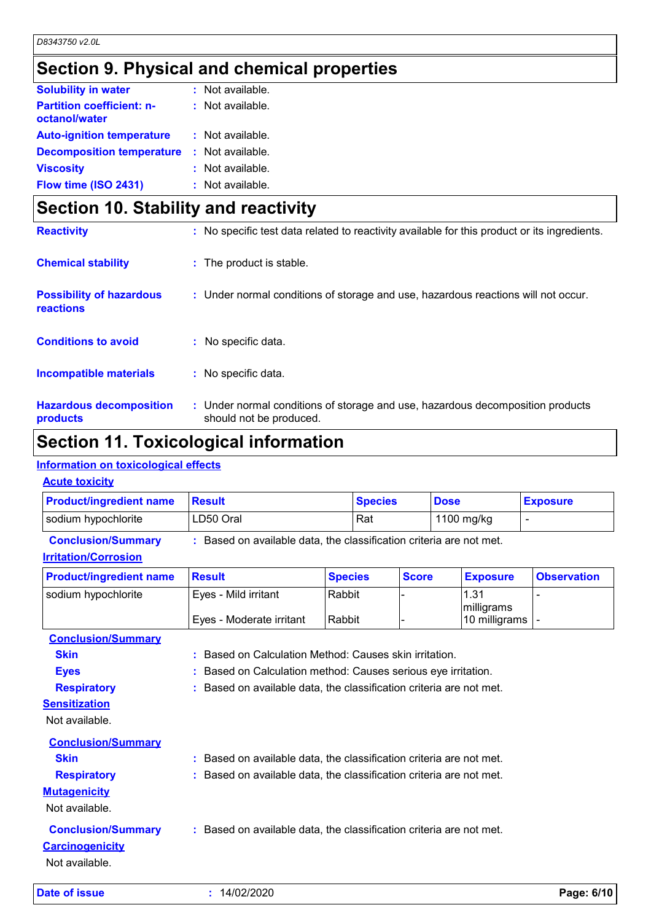# **Section 9. Physical and chemical properties**

| <b>Solubility in water</b>                        | $:$ Not available. |
|---------------------------------------------------|--------------------|
| <b>Partition coefficient: n-</b><br>octanol/water | : Not available.   |
| <b>Auto-ignition temperature</b>                  | $:$ Not available. |
| <b>Decomposition temperature</b>                  | : Not available.   |
| <b>Viscosity</b>                                  | : Not available.   |
| Flow time (ISO 2431)                              | : Not available.   |

| Section 10. Stability and reactivity                |                                                                                                           |  |
|-----------------------------------------------------|-----------------------------------------------------------------------------------------------------------|--|
| <b>Reactivity</b>                                   | : No specific test data related to reactivity available for this product or its ingredients.              |  |
| <b>Chemical stability</b>                           | : The product is stable.                                                                                  |  |
| <b>Possibility of hazardous</b><br><b>reactions</b> | : Under normal conditions of storage and use, hazardous reactions will not occur.                         |  |
| <b>Conditions to avoid</b>                          | : No specific data.                                                                                       |  |
| <b>Incompatible materials</b>                       | : No specific data.                                                                                       |  |
| <b>Hazardous decomposition</b><br>products          | : Under normal conditions of storage and use, hazardous decomposition products<br>should not be produced. |  |

# **Section 11. Toxicological information**

### **Information on toxicological effects**

### **Acute toxicity**

| <b>Product/ingredient name</b>                                        | <b>Result</b>                                                       |                  | <b>Species</b> | <b>Dose</b> |                                     | <b>Exposure</b>    |
|-----------------------------------------------------------------------|---------------------------------------------------------------------|------------------|----------------|-------------|-------------------------------------|--------------------|
| sodium hypochlorite                                                   | LD50 Oral                                                           |                  |                |             | 1100 mg/kg                          | $\overline{a}$     |
| <b>Conclusion/Summary</b><br><b>Irritation/Corrosion</b>              | : Based on available data, the classification criteria are not met. |                  |                |             |                                     |                    |
| <b>Product/ingredient name</b>                                        | <b>Result</b>                                                       | <b>Species</b>   | <b>Score</b>   |             | <b>Exposure</b>                     | <b>Observation</b> |
| sodium hypochlorite                                                   | Eyes - Mild irritant<br>Eyes - Moderate irritant                    | Rabbit<br>Rabbit |                |             | 1.31<br>milligrams<br>10 milligrams |                    |
| <b>Conclusion/Summary</b>                                             |                                                                     |                  |                |             |                                     |                    |
| <b>Skin</b>                                                           | Based on Calculation Method: Causes skin irritation.                |                  |                |             |                                     |                    |
| <b>Eyes</b>                                                           | Based on Calculation method: Causes serious eye irritation.         |                  |                |             |                                     |                    |
| <b>Respiratory</b><br><b>Sensitization</b><br>Not available.          | Based on available data, the classification criteria are not met.   |                  |                |             |                                     |                    |
| <b>Conclusion/Summary</b>                                             |                                                                     |                  |                |             |                                     |                    |
| <b>Skin</b>                                                           | Based on available data, the classification criteria are not met.   |                  |                |             |                                     |                    |
| <b>Respiratory</b><br><b>Mutagenicity</b><br>Not available.           | Based on available data, the classification criteria are not met.   |                  |                |             |                                     |                    |
| <b>Conclusion/Summary</b><br><b>Carcinogenicity</b><br>Not available. | : Based on available data, the classification criteria are not met. |                  |                |             |                                     |                    |
| Date of issue                                                         | : 14/02/2020                                                        |                  |                |             |                                     | Page: 6/10         |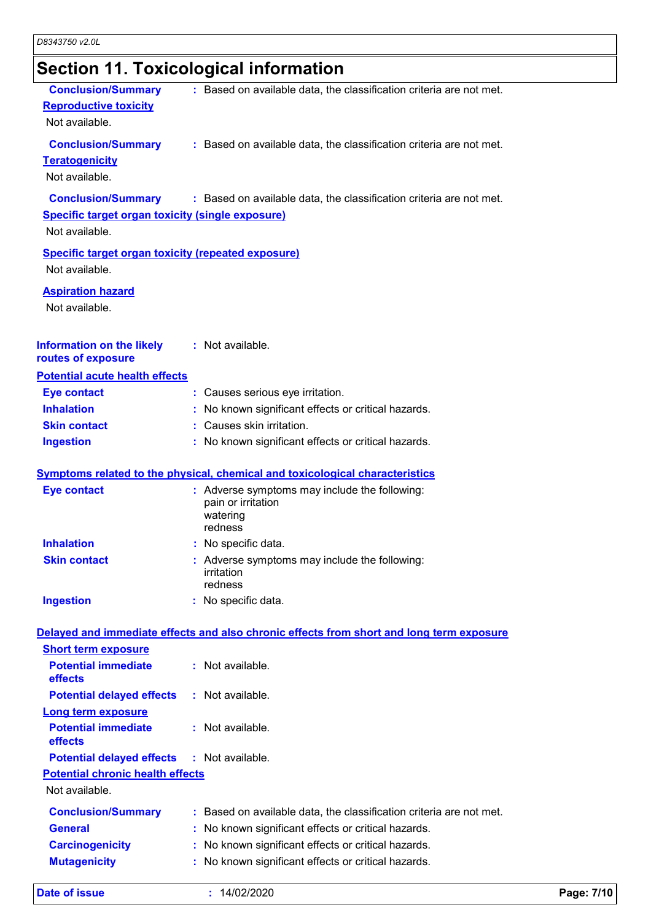# **Section 11. Toxicological information**

| <b>Reproductive toxicity</b><br>Not available.            |                                                                                            |            |
|-----------------------------------------------------------|--------------------------------------------------------------------------------------------|------------|
| <b>Conclusion/Summary</b>                                 | : Based on available data, the classification criteria are not met.                        |            |
| <b>Teratogenicity</b>                                     |                                                                                            |            |
| Not available.                                            |                                                                                            |            |
| <b>Conclusion/Summary</b>                                 | : Based on available data, the classification criteria are not met.                        |            |
| <b>Specific target organ toxicity (single exposure)</b>   |                                                                                            |            |
| Not available.                                            |                                                                                            |            |
| <b>Specific target organ toxicity (repeated exposure)</b> |                                                                                            |            |
| Not available.                                            |                                                                                            |            |
| <b>Aspiration hazard</b>                                  |                                                                                            |            |
| Not available.                                            |                                                                                            |            |
| <b>Information on the likely</b>                          | : Not available.                                                                           |            |
| routes of exposure                                        |                                                                                            |            |
| <b>Potential acute health effects</b>                     |                                                                                            |            |
| <b>Eye contact</b>                                        | : Causes serious eye irritation.                                                           |            |
| <b>Inhalation</b>                                         | : No known significant effects or critical hazards.                                        |            |
| <b>Skin contact</b>                                       | : Causes skin irritation.                                                                  |            |
| <b>Ingestion</b>                                          | : No known significant effects or critical hazards.                                        |            |
|                                                           | <b>Symptoms related to the physical, chemical and toxicological characteristics</b>        |            |
| <b>Eye contact</b>                                        | : Adverse symptoms may include the following:<br>pain or irritation<br>watering<br>redness |            |
| <b>Inhalation</b>                                         | : No specific data.                                                                        |            |
| <b>Skin contact</b>                                       | : Adverse symptoms may include the following:<br>irritation<br>redness                     |            |
| <b>Ingestion</b>                                          | : No specific data.                                                                        |            |
|                                                           |                                                                                            |            |
|                                                           | Delayed and immediate effects and also chronic effects from short and long term exposure   |            |
| <b>Short term exposure</b><br><b>Potential immediate</b>  | : Not available.                                                                           |            |
| effects                                                   |                                                                                            |            |
| <b>Potential delayed effects</b>                          | : Not available.                                                                           |            |
| <b>Long term exposure</b>                                 |                                                                                            |            |
| <b>Potential immediate</b><br>effects                     | : Not available.                                                                           |            |
| <b>Potential delayed effects</b>                          | : Not available.                                                                           |            |
| <b>Potential chronic health effects</b>                   |                                                                                            |            |
| Not available.                                            |                                                                                            |            |
| <b>Conclusion/Summary</b>                                 | : Based on available data, the classification criteria are not met.                        |            |
| <b>General</b>                                            | No known significant effects or critical hazards.                                          |            |
| <b>Carcinogenicity</b>                                    | : No known significant effects or critical hazards.                                        |            |
| <b>Mutagenicity</b>                                       | : No known significant effects or critical hazards.                                        |            |
| <b>Date of issue</b>                                      | : 14/02/2020                                                                               | Page: 7/10 |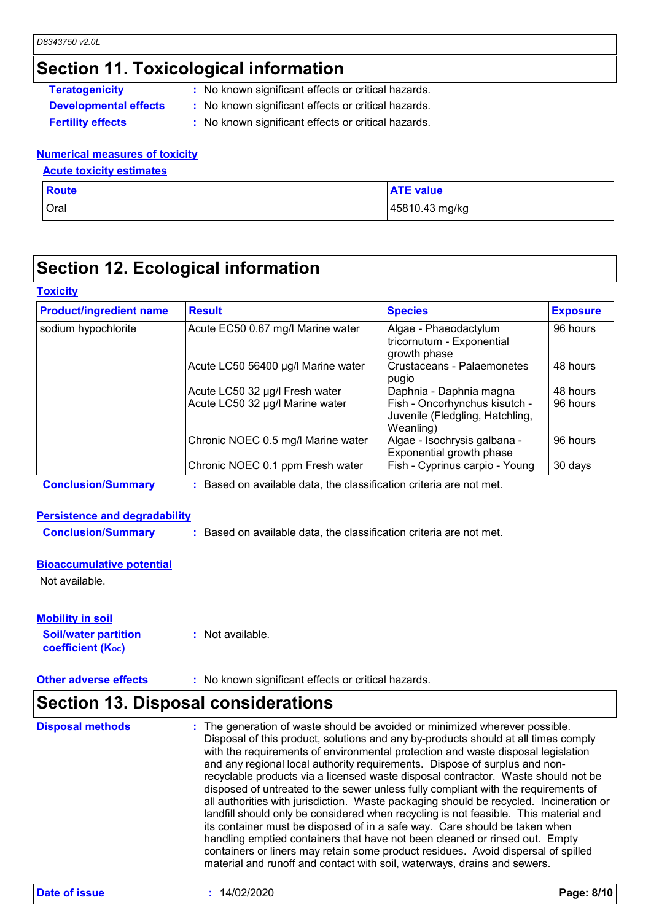# **Section 11. Toxicological information**

| <b>Teratogenicity</b>        |  |
|------------------------------|--|
| <b>Developmental effects</b> |  |

- **:** No known significant effects or critical hazards.
- **s** : No known significant effects or critical hazards.
- 
- **Fertility effects :** No known significant effects or critical hazards.

#### **Numerical measures of toxicity**

#### **Acute toxicity estimates**

| <b>Route</b> | <b>ATE value</b> |
|--------------|------------------|
| Oral         | 45810.43 mg/kg   |

# **Section 12. Ecological information**

#### **Toxicity**

| <b>Product/ingredient name</b> | <b>Result</b>                      | <b>Species</b>                                                                | <b>Exposure</b> |
|--------------------------------|------------------------------------|-------------------------------------------------------------------------------|-----------------|
| sodium hypochlorite            | Acute EC50 0.67 mg/l Marine water  | Algae - Phaeodactylum<br>tricornutum - Exponential<br>growth phase            | 96 hours        |
|                                | Acute LC50 56400 µg/l Marine water | Crustaceans - Palaemonetes<br>pugio                                           | 48 hours        |
|                                | Acute LC50 32 µg/l Fresh water     | Daphnia - Daphnia magna                                                       | 48 hours        |
|                                | Acute LC50 32 µg/l Marine water    | Fish - Oncorhynchus kisutch -<br>Juvenile (Fledgling, Hatchling,<br>Weanling) | 96 hours        |
|                                | Chronic NOEC 0.5 mg/l Marine water | Algae - Isochrysis galbana -<br>Exponential growth phase                      | 96 hours        |
|                                | Chronic NOEC 0.1 ppm Fresh water   | Fish - Cyprinus carpio - Young                                                | 30 days         |

**Conclusion/Summary :** Based on available data, the classification criteria are not met.

#### **Persistence and degradability**

**Conclusion/Summary :** Based on available data, the classification criteria are not met.

#### **Bioaccumulative potential**

Not available.

**Soil/water partition coefficient (Koc) :** Not available. **Mobility in soil**

**Other adverse effects** : No known significant effects or critical hazards.

## **Section 13. Disposal considerations**

| <b>Disposal methods</b> | : The generation of waste should be avoided or minimized wherever possible.<br>Disposal of this product, solutions and any by-products should at all times comply<br>with the requirements of environmental protection and waste disposal legislation<br>and any regional local authority requirements. Dispose of surplus and non-<br>recyclable products via a licensed waste disposal contractor. Waste should not be<br>disposed of untreated to the sewer unless fully compliant with the requirements of<br>all authorities with jurisdiction. Waste packaging should be recycled. Incineration or<br>landfill should only be considered when recycling is not feasible. This material and<br>its container must be disposed of in a safe way. Care should be taken when<br>handling emptied containers that have not been cleaned or rinsed out. Empty |
|-------------------------|---------------------------------------------------------------------------------------------------------------------------------------------------------------------------------------------------------------------------------------------------------------------------------------------------------------------------------------------------------------------------------------------------------------------------------------------------------------------------------------------------------------------------------------------------------------------------------------------------------------------------------------------------------------------------------------------------------------------------------------------------------------------------------------------------------------------------------------------------------------|
|                         | containers or liners may retain some product residues. Avoid dispersal of spilled<br>material and runoff and contact with soil, waterways, drains and sewers.                                                                                                                                                                                                                                                                                                                                                                                                                                                                                                                                                                                                                                                                                                 |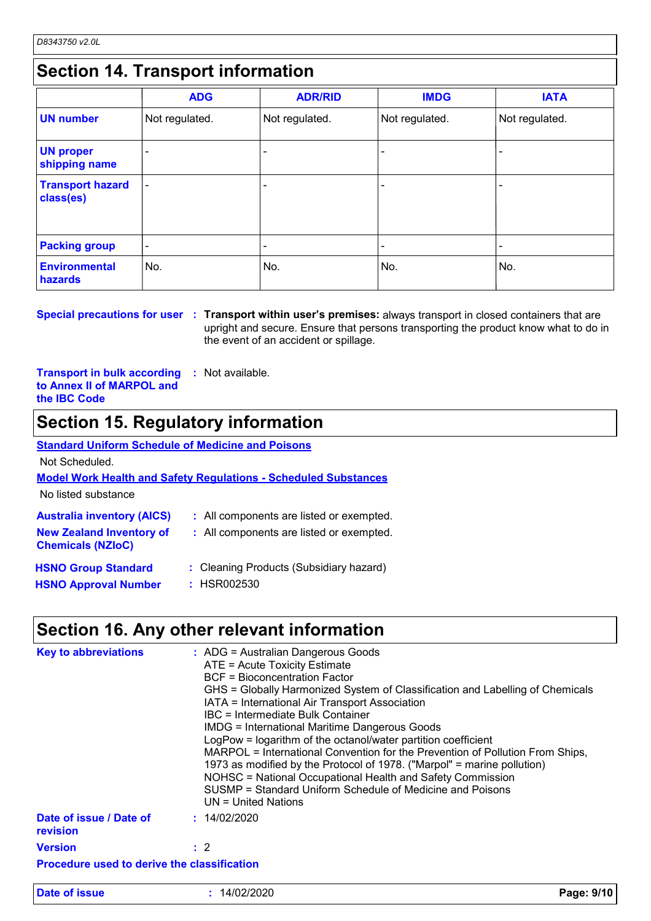# **Section 14. Transport information**

|                                      | <b>ADG</b>     | <b>ADR/RID</b> | <b>IMDG</b>    | <b>IATA</b>    |  |
|--------------------------------------|----------------|----------------|----------------|----------------|--|
| <b>UN number</b>                     | Not regulated. | Not regulated. | Not regulated. | Not regulated. |  |
| <b>UN proper</b><br>shipping name    |                |                |                |                |  |
| <b>Transport hazard</b><br>class(es) | $\overline{a}$ |                |                |                |  |
| <b>Packing group</b>                 | ۰              |                | ۰              | -              |  |
| <b>Environmental</b><br>hazards      | No.            | No.            | No.            | No.            |  |

**Special precautions for user Transport within user's premises:** always transport in closed containers that are **:** upright and secure. Ensure that persons transporting the product know what to do in the event of an accident or spillage.

**Transport in bulk according to Annex II of MARPOL and the IBC Code :** Not available.

## **Section 15. Regulatory information**

Not Scheduled.

**Model Work Health and Safety Regulations - Scheduled Substances**

No listed substance

| <b>Australia inventory (AICS)</b>                           | : All components are listed or exempted. |
|-------------------------------------------------------------|------------------------------------------|
| <b>New Zealand Inventory of</b><br><b>Chemicals (NZIoC)</b> | : All components are listed or exempted. |
| <b>HSNO Group Standard</b>                                  | : Cleaning Products (Subsidiary hazard)  |
| <b>HSNO Approval Number</b>                                 | : HSR002530                              |

## **Section 16. Any other relevant information**

| Section 16. Any other relevant information  |                                                                                                                                                                                                                                                                                                                                                                                                                                                                                                                                                                                                                                                                                                                              |            |  |
|---------------------------------------------|------------------------------------------------------------------------------------------------------------------------------------------------------------------------------------------------------------------------------------------------------------------------------------------------------------------------------------------------------------------------------------------------------------------------------------------------------------------------------------------------------------------------------------------------------------------------------------------------------------------------------------------------------------------------------------------------------------------------------|------------|--|
| <b>Key to abbreviations</b>                 | : ADG = Australian Dangerous Goods<br>ATE = Acute Toxicity Estimate<br><b>BCF</b> = Bioconcentration Factor<br>GHS = Globally Harmonized System of Classification and Labelling of Chemicals<br>IATA = International Air Transport Association<br>IBC = Intermediate Bulk Container<br><b>IMDG = International Maritime Dangerous Goods</b><br>LogPow = logarithm of the octanol/water partition coefficient<br>MARPOL = International Convention for the Prevention of Pollution From Ships,<br>1973 as modified by the Protocol of 1978. ("Marpol" = marine pollution)<br>NOHSC = National Occupational Health and Safety Commission<br>SUSMP = Standard Uniform Schedule of Medicine and Poisons<br>$UN = United Nations$ |            |  |
| Date of issue / Date of<br>revision         | : 14/02/2020                                                                                                                                                                                                                                                                                                                                                                                                                                                                                                                                                                                                                                                                                                                 |            |  |
| <b>Version</b>                              | $\therefore$ 2                                                                                                                                                                                                                                                                                                                                                                                                                                                                                                                                                                                                                                                                                                               |            |  |
| Procedure used to derive the classification |                                                                                                                                                                                                                                                                                                                                                                                                                                                                                                                                                                                                                                                                                                                              |            |  |
| Date of issue                               | : 14/02/2020                                                                                                                                                                                                                                                                                                                                                                                                                                                                                                                                                                                                                                                                                                                 | Page: 9/10 |  |